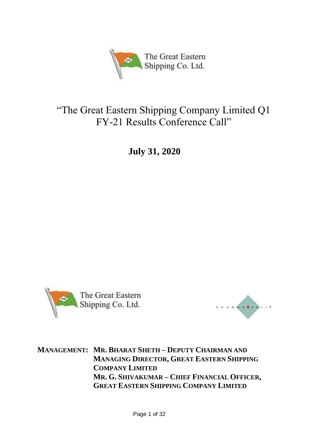

# "The Great Eastern Shipping Company Limited Q1 FY-21 Results Conference Call"

**July 31, 2020**





**MANAGEMENT: MR. BHARAT SHETH – DEPUTY CHAIRMAN AND MANAGING DIRECTOR, GREAT EASTERN SHIPPING COMPANY LIMITED MR. G. SHIVAKUMAR – CHIEF FINANCIAL OFFICER, GREAT EASTERN SHIPPING COMPANY LIMITED**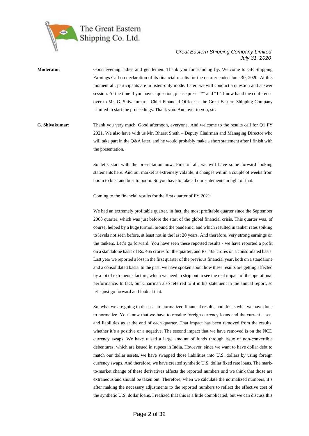

**Moderator:** Good evening ladies and gentlemen. Thank you for standing by. Welcome to GE Shipping Earnings Call on declaration of its financial results for the quarter ended June 30, 2020. At this moment all, participants are in listen-only mode. Later, we will conduct a question and answer session. At the time if you have a question, please press "\*" and "1". I now hand the conference over to Mr. G. Shivakumar – Chief Financial Officer at the Great Eastern Shipping Company Limited to start the proceedings. Thank you. And over to you, sir.

**G. Shivakumar:** Thank you very much. Good afternoon, everyone. And welcome to the results call for Q1 FY 2021. We also have with us Mr. Bharat Sheth – Deputy Chairman and Managing Director who will take part in the Q&A later, and he would probably make a short statement after I finish with the presentation.

> So let's start with the presentation now. First of all, we will have some forward looking statements here. And our market is extremely volatile, it changes within a couple of weeks from boom to bust and bust to boom. So you have to take all our statements in light of that.

Coming to the financial results for the first quarter of FY 2021:

We had an extremely profitable quarter, in fact, the most profitable quarter since the September 2008 quarter, which was just before the start of the global financial crisis. This quarter was, of course, helped by a huge turmoil around the pandemic, and which resulted in tanker rates spiking to levels not seen before, at least not in the last 20 years. And therefore, very strong earnings on the tankers. Let's go forward. You have seen these reported results - we have reported a profit on a standalone basis of Rs. 465 crores for the quarter, and Rs. 468 crores on a consolidated basis. Last year we reported a loss in the first quarter of the previous financial year, both on a standalone and a consolidated basis. In the past, we have spoken about how these results are getting affected by a lot of extraneous factors, which we need to strip out to see the real impact of the operational performance. In fact, our Chairman also referred to it in his statement in the annual report, so let's just go forward and look at that.

So, what we are going to discuss are normalized financial results, and this is what we have done to normalize. You know that we have to revalue foreign currency loans and the current assets and liabilities as at the end of each quarter. That impact has been removed from the results, whether it's a positive or a negative. The second impact that we have removed is on the NCD currency swaps. We have raised a large amount of funds through issue of non-convertible debentures, which are issued in rupees in India. However, since we want to have dollar debt to match our dollar assets, we have swapped those liabilities into U.S. dollars by using foreign currency swaps. And therefore, we have created synthetic U.S. dollar fixed rate loans. The markto-market change of these derivatives affects the reported numbers and we think that those are extraneous and should be taken out. Therefore, when we calculate the normalized numbers, it's after making the necessary adjustments to the reported numbers to reflect the effective cost of the synthetic U.S. dollar loans. I realized that this is a little complicated, but we can discuss this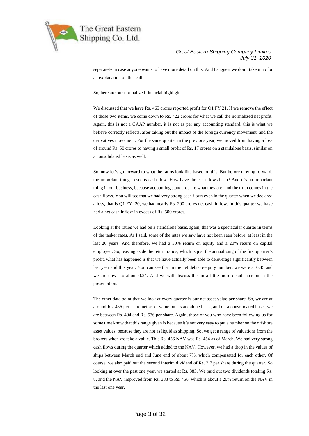

separately in case anyone wants to have more detail on this. And I suggest we don't take it up for an explanation on this call.

So, here are our normalized financial highlights:

We discussed that we have Rs. 465 crores reported profit for Q1 FY 21. If we remove the effect of those two items, we come down to Rs. 422 crores for what we call the normalized net profit. Again, this is not a GAAP number, it is not as per any accounting standard, this is what we believe correctly reflects, after taking out the impact of the foreign currency movement, and the derivatives movement. For the same quarter in the previous year, we moved from having a loss of around Rs. 50 crores to having a small profit of Rs. 17 crores on a standalone basis, similar on a consolidated basis as well.

So, now let's go forward to what the ratios look like based on this. But before moving forward, the important thing to see is cash flow. How have the cash flows been? And it's an important thing in our business, because accounting standards are what they are, and the truth comes in the cash flows. You will see that we had very strong cash flows even in the quarter when we declared a loss, that is Q1 FY '20, we had nearly Rs. 200 crores net cash inflow. In this quarter we have had a net cash inflow in excess of Rs. 500 crores.

Looking at the ratios we had on a standalone basis, again, this was a spectacular quarter in terms of the tanker rates. As I said, some of the rates we saw have not been seen before, at least in the last 20 years. And therefore, we had a 30% return on equity and a 20% return on capital employed. So, leaving aside the return ratios, which is just the annualizing of the first quarter's profit, what has happened is that we have actually been able to deleverage significantly between last year and this year. You can see that in the net debt-to-equity number, we were at 0.45 and we are down to about 0.24. And we will discuss this in a little more detail later on in the presentation.

The other data point that we look at every quarter is our net asset value per share. So, we are at around Rs. 456 per share net asset value on a standalone basis, and on a consolidated basis, we are between Rs. 494 and Rs. 536 per share. Again, those of you who have been following us for some time know that this range given is because it's not very easy to put a number on the offshore asset values, because they are not as liquid as shipping. So, we get a range of valuations from the brokers when we take a value. This Rs. 456 NAV was Rs. 454 as of March. We had very strong cash flows during the quarter which added to the NAV. However, we had a drop in the values of ships between March end and June end of about 7%, which compensated for each other. Of course, we also paid out the second interim dividend of Rs. 2.7 per share during the quarter. So looking at over the past one year, we started at Rs. 383. We paid out two dividends totaling Rs. 8, and the NAV improved from Rs. 383 to Rs. 456, which is about a 20% return on the NAV in the last one year.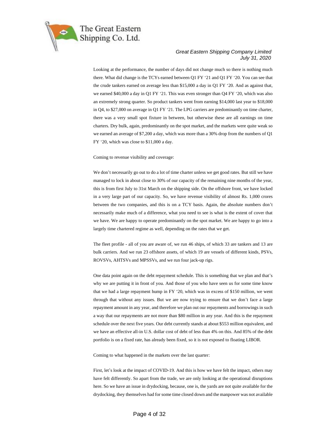

Looking at the performance, the number of days did not change much so there is nothing much there. What did change is the TCYs earned between Q1 FY '21 and Q1 FY '20. You can see that the crude tankers earned on average less than \$15,000 a day in Q1 FY '20. And as against that, we earned \$40,000 a day in Q1 FY '21. This was even stronger than Q4 FY '20, which was also an extremely strong quarter. So product tankers went from earning \$14,000 last year to \$18,000 in Q4, to \$27,000 on average in Q1 FY '21. The LPG carriers are predominantly on time charter, there was a very small spot fixture in between, but otherwise these are all earnings on time charters. Dry bulk, again, predominantly on the spot market, and the markets were quite weak so we earned an average of \$7,200 a day, which was more than a 30% drop from the numbers of Q1 FY '20, which was close to \$11,000 a day.

Coming to revenue visibility and coverage:

We don't necessarily go out to do a lot of time charter unless we get good rates. But still we have managed to lock in about close to 30% of our capacity of the remaining nine months of the year, this is from first July to 31st March on the shipping side. On the offshore front, we have locked in a very large part of our capacity. So, we have revenue visibility of almost Rs. 1,000 crores between the two companies, and this is on a TCY basis. Again, the absolute numbers don't necessarily make much of a difference, what you need to see is what is the extent of cover that we have. We are happy to operate predominantly on the spot market. We are happy to go into a largely time chartered regime as well, depending on the rates that we get.

The fleet profile - all of you are aware of, we run 46 ships, of which 33 are tankers and 13 are bulk carriers. And we run 23 offshore assets, of which 19 are vessels of different kinds, PSVs, ROVSVs, AHTSVs and MPSSVs, and we run four jack-up rigs.

One data point again on the debt repayment schedule. This is something that we plan and that's why we are putting it in front of you. And those of you who have seen us for some time know that we had a large repayment hump in FY '20, which was in excess of \$150 million, we went through that without any issues. But we are now trying to ensure that we don't face a large repayment amount in any year, and therefore we plan out our repayments and borrowings in such a way that our repayments are not more than \$80 million in any year. And this is the repayment schedule over the next five years. Our debt currently stands at about \$553 million equivalent, and we have an effective all-in U.S. dollar cost of debt of less than 4% on this. And 85% of the debt portfolio is on a fixed rate, has already been fixed, so it is not exposed to floating LIBOR.

Coming to what happened in the markets over the last quarter:

First, let's look at the impact of COVID-19. And this is how we have felt the impact, others may have felt differently. So apart from the trade, we are only looking at the operational disruptions here. So we have an issue in drydocking, because, one is, the yards are not quite available for the drydocking, they themselves had for some time closed down and the manpower was not available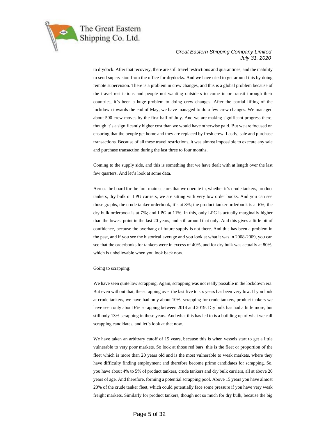

to drydock. After that recovery, there are still travel restrictions and quarantines, and the inability to send supervision from the office for drydocks. And we have tried to get around this by doing remote supervision. There is a problem in crew changes, and this is a global problem because of the travel restrictions and people not wanting outsiders to come in or transit through their countries, it's been a huge problem to doing crew changes. After the partial lifting of the lockdown towards the end of May, we have managed to do a few crew changes. We managed about 500 crew moves by the first half of July. And we are making significant progress there, though it's a significantly higher cost than we would have otherwise paid. But we are focused on ensuring that the people get home and they are replaced by fresh crew. Lastly, sale and purchase transactions. Because of all these travel restrictions, it was almost impossible to execute any sale and purchase transaction during the last three to four months.

Coming to the supply side, and this is something that we have dealt with at length over the last few quarters. And let's look at some data.

Across the board for the four main sectors that we operate in, whether it's crude tankers, product tankers, dry bulk or LPG carriers, we are sitting with very low order books. And you can see those graphs, the crude tanker orderbook, it's at 8%; the product tanker orderbook is at 6%; the dry bulk orderbook is at 7%; and LPG at 11%. In this, only LPG is actually marginally higher than the lowest point in the last 20 years, and still around that only. And this gives a little bit of confidence, because the overhang of future supply is not there. And this has been a problem in the past, and if you see the historical average and you look at what it was in 2008-2009, you can see that the orderbooks for tankers were in excess of 40%, and for dry bulk was actually at 80%, which is unbelievable when you look back now.

#### Going to scrapping:

We have seen quite low scrapping. Again, scrapping was not really possible in the lockdown era. But even without that, the scrapping over the last five to six years has been very low. If you look at crude tankers, we have had only about 10%, scrapping for crude tankers, product tankers we have seen only about 6% scrapping between 2014 and 2019. Dry bulk has had a little more, but still only 13% scrapping in these years. And what this has led to is a building up of what we call scrapping candidates, and let's look at that now.

We have taken an arbitrary cutoff of 15 years, because this is when vessels start to get a little vulnerable to very poor markets. So look at those red bars, this is the fleet or proportion of the fleet which is more than 20 years old and is the most vulnerable to weak markets, where they have difficulty finding employment and therefore become prime candidates for scrapping. So, you have about 4% to 5% of product tankers, crude tankers and dry bulk carriers, all at above 20 years of age. And therefore, forming a potential scrapping pool. Above 15 years you have almost 20% of the crude tanker fleet, which could potentially face some pressure if you have very weak freight markets. Similarly for product tankers, though not so much for dry bulk, because the big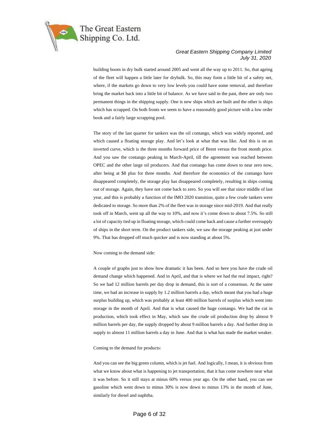

building boom in dry bulk started around 2005 and went all the way up to 2011. So, that ageing of the fleet will happen a little later for drybulk. So, this may form a little bit of a safety net, where, if the markets go down to very low levels you could have some removal, and therefore bring the market back into a little bit of balance. As we have said in the past, there are only two permanent things in the shipping supply. One is new ships which are built and the other is ships which has scrapped. On both fronts we seem to have a reasonably good picture with a low order book and a fairly large scrapping pool.

The story of the last quarter for tankers was the oil contango, which was widely reported, and which caused a floating storage play. And let's look at what that was like. And this is on an inverted curve, which is the three months forward price of Brent versus the front month price. And you saw the contango peaking in March-April, till the agreement was reached between OPEC and the other large oil producers. And that contango has come down to near zero now, after being at \$8 plus for three months. And therefore the economics of the contango have disappeared completely, the storage play has disappeared completely, resulting in ships coming out of storage. Again, they have not come back to zero. So you will see that since middle of last year, and this is probably a function of the IMO 2020 transition, quite a few crude tankers were dedicated to storage. So more than 2% of the fleet was in storage since mid-2019. And that really took off in March, went up all the way to 10%, and now it's come down to about 7.5%. So still a lot of capacity tied up in floating storage, which could come back and cause a further oversupply of ships in the short term. On the product tankers side, we saw the storage peaking at just under 9%. That has dropped off much quicker and is now standing at about 5%.

#### Now coming to the demand side:

A couple of graphs just to show how dramatic it has been. And so here you have the crude oil demand change which happened. And in April, and that is where we had the real impact, right? So we had 12 million barrels per day drop in demand, this is sort of a consensus. At the same time, we had an increase in supply by 1.2 million barrels a day, which meant that you had a huge surplus building up, which was probably at least 400 million barrels of surplus which went into storage in the month of April. And that is what caused the huge contango. We had the cut in production, which took effect in May, which saw the crude oil production drop by almost 9 million barrels per day, the supply dropped by about 9 million barrels a day. And further drop in supply to almost 11 million barrels a day in June. And that is what has made the market weaker.

#### Coming to the demand for products:

And you can see the big green column, which is jet fuel. And logically, I mean, it is obvious from what we know about what is happening to jet transportation, that it has come nowhere near what it was before. So it still stays at minus 60% versus year ago. On the other hand, you can see gasoline which went down to minus 30% is now down to minus 13% in the month of June, similarly for diesel and naphtha.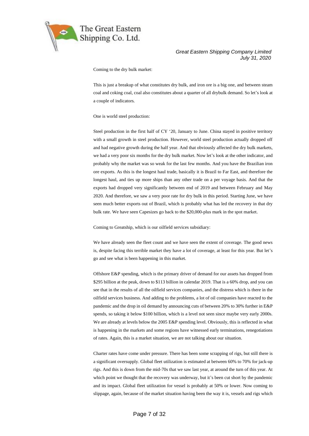

Coming to the dry bulk market:

This is just a breakup of what constitutes dry bulk, and iron ore is a big one, and between steam coal and coking coal, coal also constitutes about a quarter of all drybulk demand. So let's look at a couple of indicators.

One is world steel production:

Steel production in the first half of CY '20, January to June. China stayed in positive territory with a small growth in steel production. However, world steel production actually dropped off and had negative growth during the half year. And that obviously affected the dry bulk markets, we had a very poor six months for the dry bulk market. Now let's look at the other indicator, and probably why the market was so weak for the last few months. And you have the Brazilian iron ore exports. As this is the longest haul trade, basically it is Brazil to Far East, and therefore the longest haul, and ties up more ships than any other trade on a per voyage basis. And that the exports had dropped very significantly between end of 2019 and between February and May 2020. And therefore, we saw a very poor rate for dry bulk in this period. Starting June, we have seen much better exports out of Brazil, which is probably what has led the recovery in that dry bulk rate. We have seen Capesizes go back to the \$20,000-plus mark in the spot market.

Coming to Greatship, which is our oilfield services subsidiary:

We have already seen the fleet count and we have seen the extent of coverage. The good news is, despite facing this terrible market they have a lot of coverage, at least for this year. But let's go and see what is been happening in this market.

Offshore E&P spending, which is the primary driver of demand for our assets has dropped from \$295 billion at the peak, down to \$113 billion in calendar 2019. That is a 60% drop, and you can see that in the results of all the oilfield services companies, and the distress which is there in the oilfield services business. And adding to the problems, a lot of oil companies have reacted to the pandemic and the drop in oil demand by announcing cuts of between 20% to 30% further in E&P spends, so taking it below \$100 billion, which is a level not seen since maybe very early 2000s. We are already at levels below the 2005 E&P spending level. Obviously, this is reflected in what is happening in the markets and some regions have witnessed early terminations, renegotiations of rates. Again, this is a market situation, we are not talking about our situation.

Charter rates have come under pressure. There has been some scrapping of rigs, but still there is a significant oversupply. Global fleet utilization is estimated at between 60% to 70% for jack-up rigs. And this is down from the mid-70s that we saw last year, at around the turn of this year. At which point we thought that the recovery was underway, but it's been cut short by the pandemic and its impact. Global fleet utilization for vessel is probably at 50% or lower. Now coming to slippage, again, because of the market situation having been the way it is, vessels and rigs which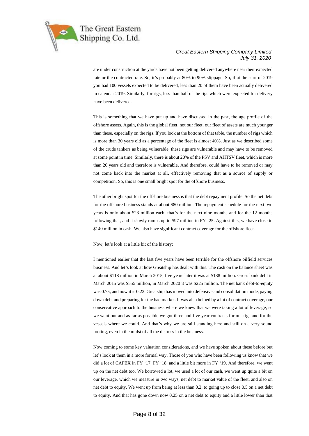

are under construction at the yards have not been getting delivered anywhere near their expected rate or the contracted rate. So, it's probably at 80% to 90% slippage. So, if at the start of 2019 you had 100 vessels expected to be delivered, less than 20 of them have been actually delivered in calendar 2019. Similarly, for rigs, less than half of the rigs which were expected for delivery have been delivered.

This is something that we have put up and have discussed in the past, the age profile of the offshore assets. Again, this is the global fleet, not our fleet, our fleet of assets are much younger than these, especially on the rigs. If you look at the bottom of that table, the number of rigs which is more than 30 years old as a percentage of the fleet is almost 40%. Just as we described some of the crude tankers as being vulnerable, these rigs are vulnerable and may have to be removed at some point in time. Similarly, there is about 20% of the PSV and AHTSV fleet, which is more than 20 years old and therefore is vulnerable. And therefore, could have to be removed or may not come back into the market at all, effectively removing that as a source of supply or competition. So, this is one small bright spot for the offshore business.

The other bright spot for the offshore business is that the debt repayment profile. So the net debt for the offshore business stands at about \$80 million. The repayment schedule for the next two years is only about \$23 million each, that's for the next nine months and for the 12 months following that, and it slowly ramps up to \$97 million in FY '25. Against this, we have close to \$140 million in cash. We also have significant contract coverage for the offshore fleet.

Now, let's look at a little bit of the history:

I mentioned earlier that the last five years have been terrible for the offshore oilfield services business. And let's look at how Greatship has dealt with this. The cash on the balance sheet was at about \$118 million in March 2015, five years later it was at \$138 million. Gross bank debt in March 2015 was \$555 million, in March 2020 it was \$225 million. The net bank debt-to-equity was 0.75, and now it is 0.22. Greatship has moved into defensive and consolidation mode, paying down debt and preparing for the bad market. It was also helped by a lot of contract coverage, our conservative approach to the business where we knew that we were taking a lot of leverage, so we went out and as far as possible we got three and five year contracts for our rigs and for the vessels where we could. And that's why we are still standing here and still on a very sound footing, even in the midst of all the distress in the business.

Now coming to some key valuation considerations, and we have spoken about these before but let's look at them in a more formal way. Those of you who have been following us know that we did a lot of CAPEX in FY '17, FY '18, and a little bit more in FY '19. And therefore, we went up on the net debt too. We borrowed a lot, we used a lot of our cash, we went up quite a bit on our leverage, which we measure in two ways, net debt to market value of the fleet, and also on net debt to equity. We went up from being at less than 0.2, to going up to close 0.5 on a net debt to equity. And that has gone down now 0.25 on a net debt to equity and a little lower than that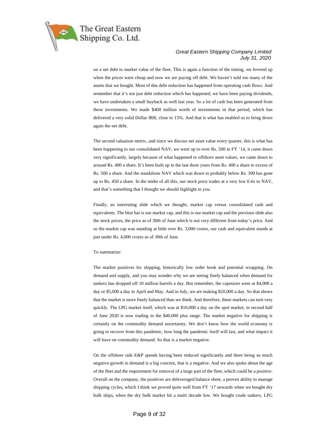

on a net debt to market value of the fleet. This is again a function of the timing, we levered up when the prices were cheap and now we are paying off debt. We haven't sold too many of the assets that we bought. Most of this debt reduction has happened from operating cash flows. And remember that it's not just debt reduction which has happened, we have been paying dividends, we have undertaken a small buyback as well last year. So a lot of cash has been generated from these investments. We made \$400 million worth of investments in that period, which has delivered a very solid Dollar IRR, close to 15%. And that is what has enabled us to bring down again the net debt.

The second valuation metric, and since we discuss net asset value every quarter, this is what has been happening to our consolidated NAV, we went up to over Rs. 500 in FY '14, it came down very significantly, largely because of what happened to offshore asset values, we came down to around Rs. 400 a share. It's been built up in the last three years from Rs. 400 a share to excess of Rs. 500 a share. And the standalone NAV which was down to probably below Rs. 300 has gone up to Rs. 450 a share. In the midst of all this, our stock price trades at a very low 0.4x to NAV, and that's something that I thought we should highlight to you.

Finally, an interesting slide which we thought, market cap versus consolidated cash and equivalents. The blue bar is our market cap, and this is our market cap and the previous slide also the stock prices, the price as of 30th of June which is not very different from today's price. And so the market cap was standing at little over Rs. 3,000 crores, our cash and equivalent stands at just under Rs. 4,000 crores as of 30th of June.

#### To summarize:

The market positives for shipping, historically low order book and potential scrapping. On demand and supply, and you may wonder why we are seeing finely balanced when demand for tankers has dropped off 10 million barrels a day. But remember, the capesizes were at \$4,000 a day or \$5,000 a day in April and May. And in July, we are making \$20,000 a day. So that shows that the market is more finely balanced than we think. And therefore, these markets can turn very quickly. The LPG market itself, which was at \$10,000 a day on the spot market, in second half of June 2020 is now trading in the \$40,000 plus range. The market negative for shipping is certainly on the commodity demand uncertainty. We don't know how the world economy is going to recover from this pandemic, how long the pandemic itself will last, and what impact it will have on commodity demand. So that is a market negative.

On the offshore side E&P spends having been reduced significantly and there being so much negative growth in demand is a big concern, that is a negative. And we also spoke about the age of the fleet and the requirement for removal of a large part of the fleet, which could be a positive. Overall on the company, the positives are deleveraged balance sheet, a proven ability to manage shipping cycles, which I think we proved quite well from FY '17 onwards when we bought dry bulk ships, when the dry bulk market hit a multi decade low. We bought crude tankers, LPG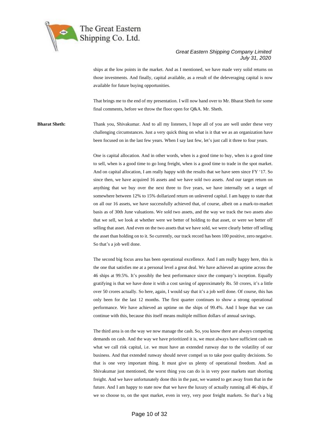

ships at the low points in the market. And as I mentioned, we have made very solid returns on those investments. And finally, capital available, as a result of the deleveraging capital is now available for future buying opportunities.

That brings me to the end of my presentation. I will now hand over to Mr. Bharat Sheth for some final comments, before we throw the floor open for Q&A. Mr. Sheth.

**Bharat Sheth:** Thank you, Shivakumar. And to all my listeners, I hope all of you are well under these very challenging circumstances. Just a very quick thing on what is it that we as an organization have been focused on in the last few years. When I say last few, let's just call it three to four years.

> One is capital allocation. And in other words, when is a good time to buy, when is a good time to sell, when is a good time to go long freight, when is a good time to trade in the spot market. And on capital allocation, I am really happy with the results that we have seen since FY '17. So since then, we have acquired 16 assets and we have sold two assets. And our target return on anything that we buy over the next three to five years, we have internally set a target of somewhere between 12% to 15% dollarized return on unlevered capital. I am happy to state that on all our 16 assets, we have successfully achieved that, of course, albeit on a mark-to-market basis as of 30th June valuations. We sold two assets, and the way we track the two assets also that we sell, we look at whether were we better of holding to that asset, or were we better off selling that asset. And even on the two assets that we have sold, we were clearly better off selling the asset than holding on to it. So currently, our track record has been 100 positive, zero negative. So that's a job well done.

> The second big focus area has been operational excellence. And I am really happy here, this is the one that satisfies me at a personal level a great deal. We have achieved an uptime across the 46 ships at 99.5%. It's possibly the best performance since the company's inception. Equally gratifying is that we have done it with a cost saving of approximately Rs. 50 crores, it's a little over 50 crores actually. So here, again, I would say that it's a job well done. Of course, this has only been for the last 12 months. The first quarter continues to show a strong operational performance. We have achieved an uptime on the ships of 99.4%. And I hope that we can continue with this, because this itself means multiple million dollars of annual savings.

> The third area is on the way we now manage the cash. So, you know there are always competing demands on cash. And the way we have prioritized it is, we must always have sufficient cash on what we call risk capital, i.e. we must have an extended runway due to the volatility of our business. And that extended runway should never compel us to take poor quality decisions. So that is one very important thing. It must give us plenty of operational freedom. And as Shivakumar just mentioned, the worst thing you can do is in very poor markets start shorting freight. And we have unfortunately done this in the past, we wanted to get away from that in the future. And I am happy to state now that we have the luxury of actually running all 46 ships, if we so choose to, on the spot market, even in very, very poor freight markets. So that's a big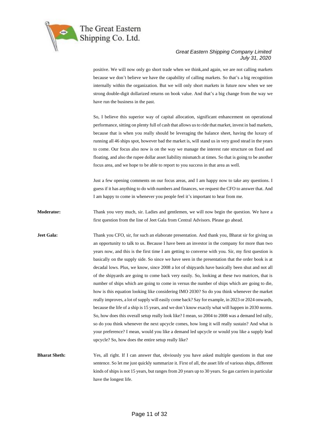

positive. We will now only go short trade when we think,and again, we are not calling markets because we don't believe we have the capability of calling markets. So that's a big recognition internally within the organization. But we will only short markets in future now when we see strong double-digit dollarized returns on book value. And that's a big change from the way we have run the business in the past.

So, I believe this superior way of capital allocation, significant enhancement on operational performance, sitting on plenty full of cash that allows us to ride that market, invest in bad markets, because that is when you really should be leveraging the balance sheet, having the luxury of running all 46 ships spot, however bad the market is, will stand us in very good stead in the years to come. Our focus also now is on the way we manage the interest rate structure on fixed and floating, and also the rupee dollar asset liability mismatch at times. So that is going to be another focus area, and we hope to be able to report to you success in that area as well.

Just a few opening comments on our focus areas, and I am happy now to take any questions. I guess if it has anything to do with numbers and finances, we request the CFO to answer that. And I am happy to come in whenever you people feel it's important to hear from me.

**Moderator:** Thank you very much, sir. Ladies and gentlemen, we will now begin the question. We have a first question from the line of Jeet Gala from Central Advisors. Please go ahead.

**Jeet Gala:** Thank you CFO, sir, for such an elaborate presentation. And thank you, Bharat sir for giving us an opportunity to talk to us. Because I have been an investor in the company for more than two years now, and this is the first time I am getting to converse with you. Sir, my first question is basically on the supply side. So since we have seen in the presentation that the order book is at decadal lows. Plus, we know, since 2008 a lot of shipyards have basically been shut and not all of the shipyards are going to come back very easily. So, looking at these two matrices, that is number of ships which are going to come in versus the number of ships which are going to die, how is this equation looking like considering IMO 2030? So do you think whenever the market really improves, a lot of supply will easily come back? Say for example, in 2023 or 2024 onwards, because the life of a ship is 15 years, and we don't know exactly what will happen in 2030 norms. So, how does this overall setup really look like? I mean, so 2004 to 2008 was a demand led rally, so do you think whenever the next upcycle comes, how long it will really sustain? And what is your preference? I mean, would you like a demand led upcycle or would you like a supply lead upcycle? So, how does the entire setup really like?

**Bharat Sheth:** Yes, all right. If I can answer that, obviously you have asked multiple questions in that one sentence. So let me just quickly summarize it. First of all, the asset life of various ships, different kinds of ships is not 15 years, but ranges from 20 years up to 30 years. So gas carriers in particular have the longest life.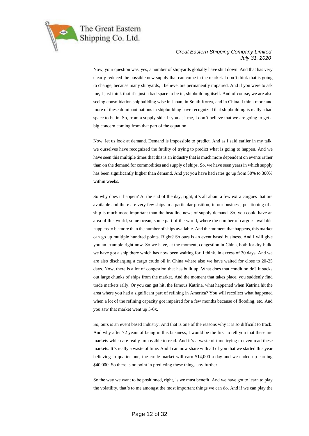

Now, your question was, yes, a number of shipyards globally have shut down. And that has very clearly reduced the possible new supply that can come in the market. I don't think that is going to change, because many shipyards, I believe, are permanently impaired. And if you were to ask me, I just think that it's just a bad space to be in, shipbuilding itself. And of course, we are also seeing consolidation shipbuilding wise in Japan, in South Korea, and in China. I think more and more of these dominant nations in shipbuilding have recognized that shipbuilding is really a bad space to be in. So, from a supply side, if you ask me, I don't believe that we are going to get a big concern coming from that part of the equation.

Now, let us look at demand. Demand is impossible to predict. And as I said earlier in my talk, we ourselves have recognized the futility of trying to predict what is going to happen. And we have seen this multiple times that this is an industry that is much more dependent on events rather than on the demand for commodities and supply of ships. So, we have seen years in which supply has been significantly higher than demand. And yet you have had rates go up from 50% to 300% within weeks.

So why does it happen? At the end of the day, right, it's all about a few extra cargoes that are available and there are very few ships in a particular position; in our business, positioning of a ship is much more important than the headline news of supply demand. So, you could have an area of this world, some ocean, some part of the world, where the number of cargoes available happens to be more than the number of ships available. And the moment that happens, this market can go up multiple hundred points. Right? So ours is an event based business. And I will give you an example right now. So we have, at the moment, congestion in China, both for dry bulk, we have got a ship there which has now been waiting for, I think, in excess of 30 days. And we are also discharging a cargo crude oil in China where also we have waited for close to 20-25 days. Now, there is a lot of congestion that has built up. What does that condition do? It sucks out large chunks of ships from the market. And the moment that takes place, you suddenly find trade markets rally. Or you can get hit, the famous Katrina, what happened when Katrina hit the area where you had a significant part of refining in America? You will recollect what happened when a lot of the refining capacity got impaired for a few months because of flooding, etc. And you saw that market went up 5-6x.

So, ours is an event based industry. And that is one of the reasons why it is so difficult to track. And why after 72 years of being in this business, I would be the first to tell you that these are markets which are really impossible to read. And it's a waste of time trying to even read these markets. It's really a waste of time. And I can now share with all of you that we started this year believing in quarter one, the crude market will earn \$14,000 a day and we ended up earning \$40,000. So there is no point in predicting these things any further.

So the way we want to be positioned, right, is we must benefit. And we have got to learn to play the volatility, that's to me amongst the most important things we can do. And if we can play the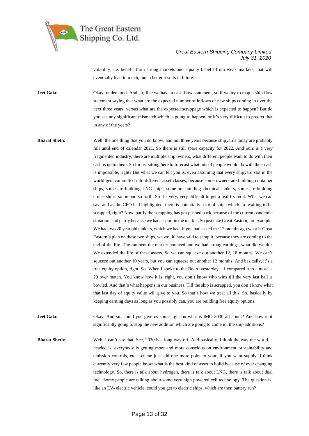

volatility, i.e. benefit from strong markets and equally benefit from weak markets, that will eventually lead to much, much better results in future.

**Jeet Gala:** Okay, understood. And sir, like we have a cash flow statement, so if we try to map a ship flow statement saying that what are the expected number of inflows of new ships coming in over the next three years, versus what are the expected scrappage which is expected to happen? But do you see any significant mismatch which is going to happen, or it's very difficult to predict that in any of the years?

**Bharat Sheth:** Well, the one thing that you do know, and not three years because shipyards today are probably full until end of calendar 2021. So there is still spare capacity for 2022. And ours is a very fragmented industry, there are multiple ship owners, what different people want to do with their cash is up to them. So for us, sitting here to forecast what lots of people would do with their cash is impossible, right? But what we can tell you is, even assuming that every shipyard slot in the world gets committed into different asset classes, because some owners are building container ships, some are building LNG ships, some are building chemical tankers, some are building cruise ships, so on and so forth. So it's very, very difficult to get a real fix on it. What we can say, and as the CFO had highlighted, there is potentially a lot of ships which are waiting to be scrapped, right? Now, partly the scrapping has got pushed back because of the current pandemic situation, and partly because we had a spurt in the market. So just take Great Eastern, for example. We had two 20 year old tankers, which we had, if you had asked me 12 months ago what is Great Eastern's plan on these two ships, we would have said to scrap it, because they are coming to the end of the life. The moment the market bounced and we had strong earnings, what did we do? We extended the life of these assets. So we can squeeze out another 12, 18 months. We can't squeeze out another 10 years, but you can squeeze out another 12 months. And basically, it's a free equity option, right. So When I spoke to the Board yesterday, I compared it to almost a 20 over match. You know how it is, right, you don't know who wins till the very last ball is bowled. And that's what happens in our business. Till the ship is scrapped, you don't know what that last day of equity value will give to you. So that's how we treat all this. So, basically by keeping earning days as long as you possibly can, you are building free equity options.

**Jeet Gala:** Okay. And sir, could you give us some light on what is IMO 2030 all about? And how is it significantly going to stop the new addition which are going to come in, the ship additions?

**Bharat Sheth:** Well, I can't say that. See, 2030 is a long way off. And basically, I think the way the world is headed is, everybody is getting more and more conscious on environment, sustainability and emission controls, etc. Let me just add one more point to your, if you want supply. I think currently very few people know what is the best kind of asset to build because of ever changing technology. So, there is talk about hydrogen, there is talk about LNG, there is talk about dual fuel. Some people are talking about some very high powered cell technology. The question is, like an EV- electric vehicle, could you get to electric ships, which are then battery run?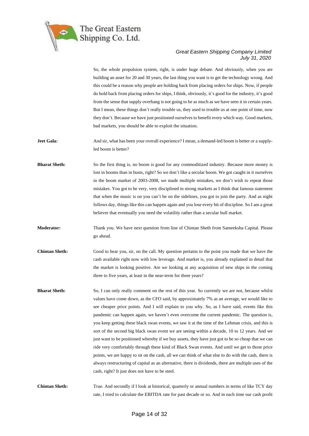

So, the whole propulsion system, right, is under huge debate. And obviously, when you are building an asset for 20 and 30 years, the last thing you want is to get the technology wrong. And this could be a reason why people are holding back from placing orders for ships. Now, if people do hold back from placing orders for ships, I think, obviously, it's good for the industry, it's good from the sense that supply overhang is not going to be as much as we have seen it in certain years. But I mean, these things don't really trouble us, they used to trouble us at one point of time, now they don't. Because we have just positioned ourselves to benefit every which way. Good markets, bad markets, you should be able to exploit the situation.

Jeet Gala: And sir, what has been your overall experience? I mean, a demand-led boom is better or a supplyled boom is better?

**Bharat Sheth:** So the first thing is, no boom is good for any commoditized industry. Because more money is lost in booms than in busts, right? So we don't like a secular boom. We got caught in it ourselves in the boom market of 2003-2008, we made multiple mistakes, we don't wish to repeat those mistakes. You got to be very, very disciplined in strong markets as I think that famous statement that when the music is on you can't be on the sidelines, you got to join the party. And as night follows day, things like this can happen again and you lose every bit of discipline. So I am a great believer that eventually you need the volatility rather than a secular bull market.

**Moderator:** Thank you. We have next question from line of Chintan Sheth from Sameeksha Capital. Please go ahead.

- **Chintan Sheth:** Good to hear you, sir, on the call. My question pertains to the point you made that we have the cash available right now with low leverage. And market is, you already explained in detail that the market is looking positive. Are we looking at any acquisition of new ships in the coming three to five years, at least in the near-term for three years?
- **Bharat Sheth:** So, I can only really comment on the rest of this year. So currently we are not, because whilst values have come down, as the CFO said, by approximately 7% as an average, we would like to see cheaper price points. And I will explain to you why. So, as I have said, events like this pandemic can happen again, we haven't even overcome the current pandemic. The question is, you keep getting these black swan events, we saw it at the time of the Lehman crisis, and this is sort of the second big black swan event we are seeing within a decade, 10 to 12 years. And we just want to be positioned whereby if we buy assets, they have just got to be so cheap that we can ride very comfortably through these kind of Black Swan events. And until we get to those price points, we are happy to sit on the cash, all we can think of what else to do with the cash, there is always restructuring of capital as an alternative, there is dividends, there are multiple uses of the cash, right? It just does not have to be steel.

**Chintan Sheth:** True. And secondly if I look at historical, quarterly or annual numbers in terms of like TCY day rate, I tried to calculate the EBITDA rate for past decade or so. And in each time our cash profit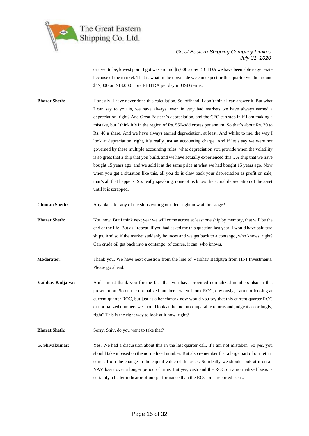

or used to be, lowest point I got was around \$5,000 a day EBITDA we have been able to generate because of the market. That is what in the downside we can expect or this quarter we did around \$17,000 or \$18,000 core EBITDA per day in USD terms.

**Bharat Sheth:** Honestly, I have never done this calculation. So, offhand, I don't think I can answer it. But what I can say to you is, we have always, even in very bad markets we have always earned a depreciation, right? And Great Eastern's depreciation, and the CFO can step in if I am making a mistake, but I think it's in the region of Rs. 550-odd crores per annum. So that's about Rs. 30 to Rs. 40 a share. And we have always earned depreciation, at least. And whilst to me, the way I look at depreciation, right, it's really just an accounting charge. And if let's say we were not governed by these multiple accounting rules, what depreciation you provide when the volatility is so great that a ship that you build, and we have actually experienced this... A ship that we have bought 15 years ago, and we sold it at the same price at what we had bought 15 years ago. Now when you get a situation like this, all you do is claw back your depreciation as profit on sale, that's all that happens. So, really speaking, none of us know the actual depreciation of the asset until it is scrapped.

**Chintan Sheth:** Any plans for any of the ships exiting our fleet right now at this stage?

**Bharat Sheth:** Not, now. But I think next year we will come across at least one ship by memory, that will be the end of the life. But as I repeat, if you had asked me this question last year, I would have said two ships. And so if the market suddenly bounces and we get back to a contango, who knows, right? Can crude oil get back into a contango, of course, it can, who knows.

**Moderator:** Thank you. We have next question from the line of Vaibhav Badjatya from HNI Investments. Please go ahead.

**Vaibhav Badjatya:** And I must thank you for the fact that you have provided normalized numbers also in this presentation. So on the normalized numbers, when I look ROC, obviously, I am not looking at current quarter ROC, but just as a benchmark now would you say that this current quarter ROC or normalized numbers we should look at the Indian comparable returns and judge it accordingly, right? This is the right way to look at it now, right?

**Bharat Sheth:** Sorry. Shiv, do you want to take that?

**G. Shivakumar:** Yes. We had a discussion about this in the last quarter call, if I am not mistaken. So yes, you should take it based on the normalized number. But also remember that a large part of our return comes from the change in the capital value of the asset. So ideally we should look at it on an NAV basis over a longer period of time. But yes, cash and the ROC on a normalized basis is certainly a better indicator of our performance than the ROC on a reported basis.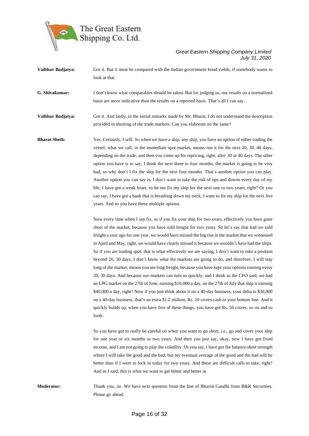

| Vaibhav Badjatya:    | Got it. But it must be compared with the Indian government bond yields, if somebody wants to<br>look at that.                                                                                                                                                                                                                                                                                                                                                                                                                                                                                                                                                                                                                                                                                                                                                                                                                                                                                                                                                                                                                                                                                                                                              |
|----------------------|------------------------------------------------------------------------------------------------------------------------------------------------------------------------------------------------------------------------------------------------------------------------------------------------------------------------------------------------------------------------------------------------------------------------------------------------------------------------------------------------------------------------------------------------------------------------------------------------------------------------------------------------------------------------------------------------------------------------------------------------------------------------------------------------------------------------------------------------------------------------------------------------------------------------------------------------------------------------------------------------------------------------------------------------------------------------------------------------------------------------------------------------------------------------------------------------------------------------------------------------------------|
| G. Shivakumar:       | I don't know what comparables should be taken. But for judging us, our results on a normalized<br>basis are more indicative than the results on a reported basis. That's all I can say.                                                                                                                                                                                                                                                                                                                                                                                                                                                                                                                                                                                                                                                                                                                                                                                                                                                                                                                                                                                                                                                                    |
| Vaibhav Badjatya:    | Got it. And lastly, in the initial remarks made by Mr. Bharat, I do not understand the description<br>provided in shorting of the trade markets. Can you elaborate on the same?                                                                                                                                                                                                                                                                                                                                                                                                                                                                                                                                                                                                                                                                                                                                                                                                                                                                                                                                                                                                                                                                            |
| <b>Bharat Sheth:</b> | Yes. Certainly, I will. So when we have a ship, any ship, you have an option of either trading the<br>vessel, what we call, in the immediate spot market, means run it for the next 20, 30, 40 days,<br>depending on the trade, and then you come up for repricing, right, after 30 or 40 days. The other<br>option you have is to say, I think the next three to four months, the market is going to be very<br>bad, so why don't I fix the ship for the next four months. That's another option you can play.<br>Another option you can say is, I don't want to take the risk of ups and downs every day of my<br>life, I have got a weak heart, so let me fix my ship for the next one or two years, right? Or you<br>can say, I have got a bank that is breathing down my neck, I want to fix my ship for the next five<br>years. And so you have these multiple options.                                                                                                                                                                                                                                                                                                                                                                              |
|                      | Now every time when I say fix, so if you fix your ship for two years, effectively you have gone<br>short of the market, because you have sold freight for two years. So let's say that had we sold<br>freight a year ago for one year, we would have missed the big rise in the market that we witnessed<br>in April and May, right, we would have clearly missed it because we wouldn't have had the ships.<br>So if you are trading spot, that is what effectively we are saying, I don't want to take a position<br>beyond 20, 30 days, I don't know what the markets are going to do, and therefore, I will stay<br>long of the market, means you are long freight, because you have kept your options running every<br>20, 30 days. And because our markets can turn so quickly, and I think as the CFO said, we had<br>an LPG market on the 27th of June, earning \$10,000 a day, on the 27th of July that ship is earning<br>\$40,000 a day, right? Now if you just think about it on a 40-day business, your delta is \$30,000<br>on a 40-day business, that's an extra \$1.2 million, Rs. 10 crores cash to your bottom line. And it<br>quickly builds up, when you have five of these things, you have got Rs. 50 crores, so on and so<br>forth. |

So you have got to really be careful on when you want to go short, i.e., go and cover your ship for one year or six months or two years. And then you just say, okay, now I have got fixed income, and I am not going to play the volatility. Or you say, I have got the balance sheet strength where I will take the good and the bad, but my eventual average of the good and the bad will be better than if I were to lock in today for two years. And these are difficult calls to take, right? And as I said, this is what we want to get better and better at.

**Moderator:** Thank you, sir. We have next question from the line of Bhavin Gandhi from B&K Securities. Please go ahead.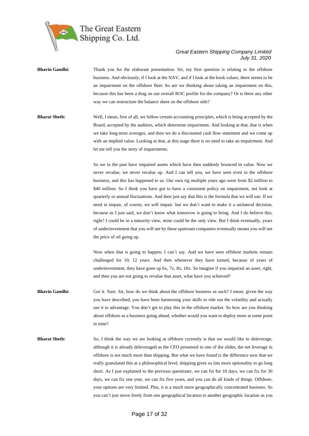

- **Bhavin Gandhi:** Thank you for the elaborate presentation. Sir, my first question is relating to the offshore business. And obviously, if I look at the NAV, and if I look at the book values, there seems to be an impairment on the offshore fleet. So are we thinking about taking an impairment on this, because this has been a drag on our overall ROC profile for the company? Or is there any other way we can restructure the balance sheet on the offshore side?
- **Bharat Sheth:** Well, I mean, first of all, we follow certain accounting principles, which is being accepted by the Board, accepted by the auditors, which determine impairment. And looking at that, that is when we take long-term averages, and then we do a discounted cash flow statement and we come up with an implied value. Looking at that, at this stage there is no need to take an impairment. And let me tell you the story of impairments.

So we in the past have impaired assets which have then suddenly bounced in value. Now we never revalue, we never revalue up. And I can tell you, we have seen even in the offshore business, and this has happened to us. Our own rig multiple years ago went from \$2 million to \$40 million. So I think you have got to have a consistent policy on impairment, not look at quarterly or annual fluctuations. And then just say that this is the formula that we will use. If we need to impair, of course, we will impair. but we don't want to make it a unilateral decision, because as I just said, we don't know what tomorrow is going to bring. And I do believe this, right? I could be in a minority view, mine could be the only view. But I think eventually, years of underinvestment that you will see by these upstream companies eventually means you will see the price of oil going up.

Now when that is going to happen, I can't say. And we have seen offshore markets remain challenged for 10, 12 years. And then whenever they have turned, because of years of underinvestment, they have gone up 6x, 7x, 8x, 10x. So imagine if you impaired an asset, right, and then you are not going to revalue that asset, what have you achieved?

- **Bhavin Gandhi:** Got it. Sure. Sir, how do we think about the offshore business as such? I mean, given the way you have described, you have been harnessing your skills to ride out the volatility and actually use it to advantage. You don't get to play this in the offshore market. So how are you thinking about offshore as a business going ahead, whether would you want to deploy more at some point in time?
- **Bharat Sheth:** So, I think the way we are looking at offshore currently is that we would like to deleverage, although it is already deleveraged as the CFO presented in one of the slides, the net leverage in offshore is not much more than shipping. But what we have found is the difference now that we really granulated this at a philosophical level, shipping gives us lots more optionality to go long short. As I just explained to the previous questioner, we can fix for 10 days, we can fix for 30 days, we can fix one year, we can fix five years, and you can do all kinds of things. Offshore, your options are very limited. Plus, it is a much more geographically concentrated business. So you can't just move freely from one geographical location to another geographic location as you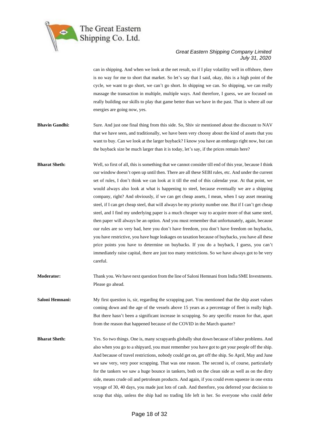

can in shipping. And when we look at the net result, so if I play volatility well in offshore, there is no way for me to short that market. So let's say that I said, okay, this is a high point of the cycle, we want to go short, we can't go short. In shipping we can. So shipping, we can really massage the transaction in multiple, multiple ways. And therefore, I guess, we are focused on really building our skills to play that game better than we have in the past. That is where all our energies are going now, yes.

- **Bhavin Gandhi:** Sure. And just one final thing from this side. So, Shiv sir mentioned about the discount to NAV that we have seen, and traditionally, we have been very choosy about the kind of assets that you want to buy. Can we look at the larger buyback? I know you have an embargo right now, but can the buyback size be much larger than it is today, let's say, if the prices remain here?
- **Bharat Sheth:** Well, so first of all, this is something that we cannot consider till end of this year, because I think our window doesn't open up until then. There are all these SEBI rules, etc. And under the current set of rules, I don't think we can look at it till the end of this calendar year. At that point, we would always also look at what is happening to steel, because eventually we are a shipping company, right? And obviously, if we can get cheap assets, I mean, when I say asset meaning steel, if I can get cheap steel, that will always be my priority number one. But if I can't get cheap steel, and I find my underlying paper is a much cheaper way to acquire more of that same steel, then paper will always be an option. And you must remember that unfortunately, again, because our rules are so very bad, here you don't have freedom, you don't have freedom on buybacks, you have restrictive, you have huge leakages on taxation because of buybacks, you have all these price points you have to determine on buybacks. If you do a buyback, I guess, you can't immediately raise capital, there are just too many restrictions. So we have always got to be very careful.
- **Moderator:** Thank you. We have next question from the line of Saloni Hemnani from India SME Investments. Please go ahead.
- **Saloni Hemnani:** My first question is, sir, regarding the scrapping part. You mentioned that the ship asset values coming down and the age of the vessels above 15 years as a percentage of fleet is really high. But there hasn't been a significant increase in scrapping. So any specific reason for that, apart from the reason that happened because of the COVID in the March quarter?
- **Bharat Sheth:** Yes. So two things. One is, many scrapyards globally shut down because of labor problems. And also when you go to a shipyard, you must remember you have got to get your people off the ship. And because of travel restrictions, nobody could get on, get off the ship. So April, May and June we saw very, very poor scrapping. That was one reason. The second is, of course, particularly for the tankers we saw a huge bounce in tankers, both on the clean side as well as on the dirty side, means crude oil and petroleum products. And again, if you could even squeeze in one extra voyage of 30, 40 days, you made just lots of cash. And therefore, you deferred your decision to scrap that ship, unless the ship had no trading life left in her. So everyone who could defer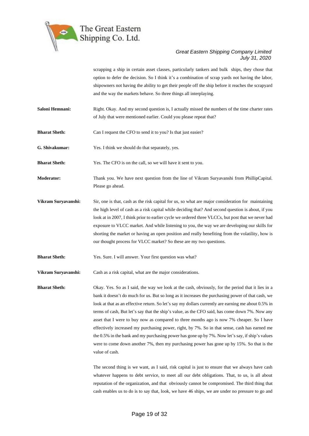

scrapping a ship in certain asset classes, particularly tankers and bulk ships, they chose that option to defer the decision. So I think it's a combination of scrap yards not having the labor, shipowners not having the ability to get their people off the ship before it reaches the scrapyard and the way the markets behave. So three things all interplaying.

- **Saloni Hemnani:** Right. Okay. And my second question is, I actually missed the numbers of the time charter rates of July that were mentioned earlier. Could you please repeat that?
- **Bharat Sheth:** Can I request the CFO to send it to you? Is that just easier?
- **G. Shivakumar:** Yes. I think we should do that separately, yes.

**Bharat Sheth:** Yes. The CFO is on the call, so we will have it sent to you.

- **Moderator:** Thank you. We have next question from the line of Vikram Suryavanshi from PhillipCapital. Please go ahead.
- **Vikram Suryavanshi:** Sir, one is that, cash as the risk capital for us, so what are major consideration for maintaining the high level of cash as a risk capital while deciding that? And second question is about, if you look at in 2007, I think prior to earlier cycle we ordered three VLCCs, but post that we never had exposure to VLCC market. And while listening to you, the way we are developing our skills for shorting the market or having an open position and really benefiting from the volatility, how is our thought process for VLCC market? So these are my two questions.

**Bharat Sheth:** Yes. Sure. I will answer. Your first question was what?

**Vikram Suryavanshi:** Cash as a risk capital, what are the major considerations.

**Bharat Sheth:** Okay. Yes. So as I said, the way we look at the cash, obviously, for the period that it lies in a bank it doesn't do much for us. But so long as it increases the purchasing power of that cash, we look at that as an effective return. So let's say my dollars currently are earning me about 0.5% in terms of cash, But let's say that the ship's value, as the CFO said, has come down 7%. Now any asset that I were to buy now as compared to three months ago is now 7% cheaper. So I have effectively increased my purchasing power, right, by 7%. So in that sense, cash has earned me the 0.5% in the bank and my purchasing power has gone up by 7%. Now let's say, if ship's values were to come down another 7%, then my purchasing power has gone up by 15%. So that is the value of cash.

> The second thing is we want, as I said, risk capital is just to ensure that we always have cash whatever happens to debt service, to meet all our debt obligations. That, to us, is all about reputation of the organization, and that obviously cannot be compromised. The third thing that cash enables us to do is to say that, look, we have 46 ships, we are under no pressure to go and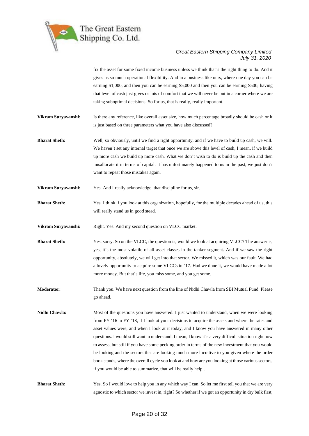

fix the asset for some fixed income business unless we think that's the right thing to do. And it gives us so much operational flexibility. And in a business like ours, where one day you can be earning \$1,000, and then you can be earning \$5,000 and then you can be earning \$500, having that level of cash just gives us lots of comfort that we will never be put in a corner where we are taking suboptimal decisions. So for us, that is really, really important.

**Vikram Suryavanshi:** Is there any reference, like overall asset size, how much percentage broadly should be cash or it is just based on three parameters what you have also discussed?

**Bharat Sheth:** Well, so obviously, until we find a right opportunity, and if we have to build up cash, we will. We haven't set any internal target that once we are above this level of cash, I mean, if we build up more cash we build up more cash. What we don't wish to do is build up the cash and then misallocate it in terms of capital. It has unfortunately happened to us in the past, we just don't want to repeat those mistakes again.

**Vikram Suryavanshi:** Yes. And I really acknowledge that discipline for us, sir.

**Bharat Sheth:** Yes. I think if you look at this organization, hopefully, for the multiple decades ahead of us, this will really stand us in good stead.

Vikram Suryavanshi: Right. Yes. And my second question on VLCC market.

**Bharat Sheth:** Yes, sorry. So on the VLCC, the question is, would we look at acquiring VLCC? The answer is, yes, it's the most volatile of all asset classes in the tanker segment. And if we saw the right opportunity, absolutely, we will get into that sector. We missed it, which was our fault. We had a lovely opportunity to acquire some VLCCs in '17. Had we done it, we would have made a lot more money. But that's life, you miss some, and you get some.

**Moderator:** Thank you. We have next question from the line of Nidhi Chawla from SBI Mutual Fund. Please go ahead.

**Nidhi Chawla:** Most of the questions you have answered. I just wanted to understand, when we were looking from FY '16 to FY '18, if I look at your decisions to acquire the assets and where the rates and asset values were, and when I look at it today, and I know you have answered in many other questions. I would still want to understand, I mean, I know it's a very difficult situation right now to assess, but still if you have some pecking order in terms of the new investment that you would be looking and the sectors that are looking much more lucrative to you given where the order book stands, where the overall cycle you look at and how are you looking at those various sectors, if you would be able to summarize, that will be really help .

**Bharat Sheth:** Yes. So I would love to help you in any which way I can. So let me first tell you that we are very agnostic to which sector we invest in, right? So whether if we got an opportunity in dry bulk first,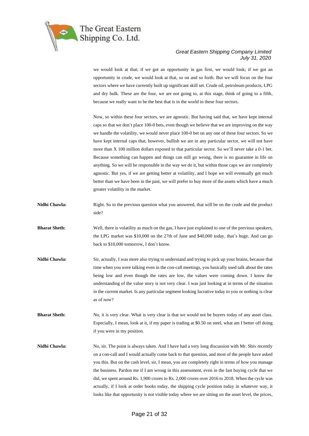

we would look at that; if we got an opportunity in gas first, we would look; if we got an opportunity in crude, we would look at that, so on and so forth. But we will focus on the four sectors where we have currently built up significant skill set. Crude oil, petroleum products, LPG and dry bulk. These are the four, we are not going to, at this stage, think of going to a fifth, because we really want to be the best that is in the world in these four sectors.

Now, so within these four sectors, we are agnostic. But having said that, we have kept internal caps so that we don't place 100-0 bets, even though we believe that we are improving on the way we handle the volatility, we would never place 100-0 bet on any one of these four sectors. So we have kept internal caps that, however, bullish we are in any particular sector, we will not have more than X 100 million dollars exposed to that particular sector. So we'll never take a 0-1 bet. Because something can happen and things can still go wrong, there is no guarantee in life on anything. So we will be responsible in the way we do it, but within those caps we are completely agnostic. But yes, if we are getting better at volatility, and I hope we will eventually get much better than we have been in the past, we will prefer to buy more of the assets which have a much greater volatility in the market.

- **Nidhi Chawla:** Right. So to the previous question what you answered, that will be on the crude and the product side?
- **Bharat Sheth:** Well, there is volatility as much on the gas, I have just explained to one of the previous speakers, the LPG market was \$10,000 on the 27th of June and \$40,000 today, that's huge. And can go back to \$10,000 tomorrow, I don't know.
- **Nidhi Chawla:** Sir, actually, I was more also trying to understand and trying to pick up your brains, because that time when you were talking even in the con-call meetings, you basically used talk about the rates being low and even though the rates are low, the values were coming down. I know the understanding of the value story is not very clear. I was just looking at in terms of the situation in the current market. Is any particular segment looking lucrative today to you or nothing is clear as of now?
- **Bharat Sheth:** No, it is very clear. What is very clear is that we would not be buyers today of any asset class. Especially, I mean, look at it, if my paper is trading at \$0.50 on steel, what am I better off doing if you were in my position.
- Nidhi Chawla: No, sir. The point is always taken. And I have had a very long discussion with Mr. Shiv recently on a con-call and I would actually come back to that question, and most of the people have asked you this. But on the cash level, sir, I mean, you are completely right in terms of how you manage the business. Pardon me if I am wrong in this assessment, even in the last buying cycle that we did, we spent around Rs. 1,900 crores to Rs. 2,000 crores over 2016 to 2018. When the cycle was actually, if I look at order books today, the shipping cycle position today in whatever way, it looks like that opportunity is not visible today where we are sitting on the asset level, the prices,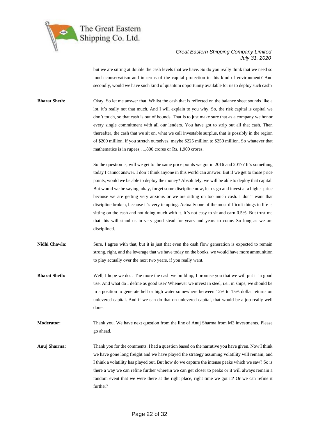

but we are sitting at double the cash levels that we have. So do you really think that we need so much conservatism and in terms of the capital protection in this kind of environment? And secondly, would we have such kind of quantum opportunity available for us to deploy such cash?

**Bharat Sheth:** Okay. So let me answer that. Whilst the cash that is reflected on the balance sheet sounds like a lot, it's really not that much. And I will explain to you why. So, the risk capital is capital we don't touch, so that cash is out of bounds. That is to just make sure that as a company we honor every single commitment with all our lenders. You have got to strip out all that cash. Then thereafter, the cash that we sit on, what we call investable surplus, that is possibly in the region of \$200 million, if you stretch ourselves, maybe \$225 million to \$250 million. So whatever that mathematics is in rupees,. 1,800 crores or Rs. 1,900 crores.

> So the question is, will we get to the same price points we got in 2016 and 2017? It's something today I cannot answer. I don't think anyone in this world can answer. But if we get to those price points, would we be able to deploy the money? Absolutely, we will be able to deploy that capital. But would we be saying, okay, forget some discipline now, let us go and invest at a higher price because we are getting very anxious or we are sitting on too much cash. I don't want that discipline broken, because it's very tempting. Actually one of the most difficult things in life is sitting on the cash and not doing much with it. It's not easy to sit and earn 0.5%. But trust me that this will stand us in very good stead for years and years to come. So long as we are disciplined.

**Nidhi Chawla:** Sure. I agree with that, but it is just that even the cash flow generation is expected to remain strong, right, and the leverage that we have today on the books, we would have more ammunition to play actually over the next two years, if you really want.

**Bharat Sheth:** Well, I hope we do. . The more the cash we build up, I promise you that we will put it in good use. And what do I define as good use? Whenever we invest in steel, i.e., in ships, we should be in a position to generate hell or high water somewhere between 12% to 15% dollar returns on unlevered capital. And if we can do that on unlevered capital, that would be a job really well done.

**Moderator:** Thank you. We have next question from the line of Anuj Sharma from M3 investments. Please go ahead.

**Anuj Sharma:** Thank you for the comments. I had a question based on the narrative you have given. Now I think we have gone long freight and we have played the strategy assuming volatility will remain, and I think a volatility has played out. But how do we capture the intense peaks which we saw? So is there a way we can refine further wherein we can get closer to peaks or it will always remain a random event that we were there at the right place, right time we got it? Or we can refine it further?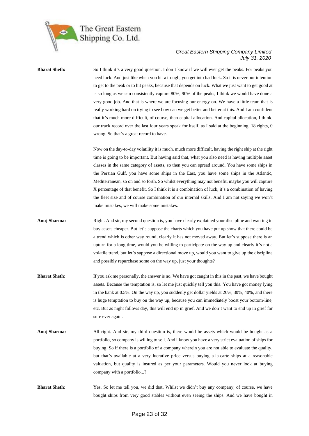

**Bharat Sheth:** So I think it's a very good question. I don't know if we will ever get the peaks. For peaks you need luck. And just like when you hit a trough, you get into bad luck. So it is never our intention to get to the peak or to hit peaks, because that depends on luck. What we just want to get good at is so long as we can consistently capture 80%, 90% of the peaks, I think we would have done a very good job. And that is where we are focusing our energy on. We have a little team that is really working hard on trying to see how can we get better and better at this. And I am confident that it's much more difficult, of course, than capital allocation. And capital allocation, I think, our track record over the last four years speak for itself, as I said at the beginning, 18 rights, 0 wrong. So that's a great record to have.

> Now on the day-to-day volatility it is much, much more difficult, having the right ship at the right time is going to be important. But having said that, what you also need is having multiple asset classes in the same category of assets, so then you can spread around. You have some ships in the Persian Gulf, you have some ships in the East, you have some ships in the Atlantic, Mediterranean, so on and so forth. So whilst everything may not benefit, maybe you will capture X percentage of that benefit. So I think it is a combination of luck, it's a combination of having the fleet size and of course combination of our internal skills. And I am not saying we won't make mistakes, we will make some mistakes.

- **Anuj Sharma:** Right. And sir, my second question is, you have clearly explained your discipline and wanting to buy assets cheaper. But let's suppose the charts which you have put up show that there could be a trend which is other way round, clearly it has not moved away. But let's suppose there is an upturn for a long time, would you be willing to participate on the way up and clearly it's not a volatile trend, but let's suppose a directional move up, would you want to give up the discipline and possibly repurchase some on the way up, just your thoughts?
- **Bharat Sheth:** If you ask me personally, the answer is no. We have got caught in this in the past, we have bought assets. Because the temptation is, so let me just quickly tell you this. You have got money lying in the bank at 0.5%. On the way up, you suddenly get dollar yields at 20%, 30%, 40%, and there is huge temptation to buy on the way up, because you can immediately boost your bottom-line, etc. But as night follows day, this will end up in grief. And we don't want to end up in grief for sure ever again.
- **Anuj Sharma:** All right. And sir, my third question is, there would be assets which would be bought as a portfolio, so company is willing to sell. And I know you have a very strict evaluation of ships for buying. So if there is a portfolio of a company wherein you are not able to evaluate the quality, but that's available at a very lucrative price versus buying a-la-carte ships at a reasonable valuation, but quality is insured as per your parameters. Would you never look at buying company with a portfolio...?
- **Bharat Sheth:** Yes. So let me tell you, we did that. Whilst we didn't buy any company, of course, we have bought ships from very good stables without even seeing the ships. And we have bought in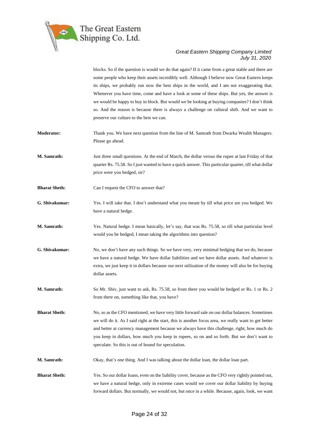

blocks. So if the question is would we do that again? If it came from a great stable and there are some people who keep their assets incredibly well. Although I believe now Great Eastern keeps its ships, we probably run now the best ships in the world, and I am not exaggerating that. Whenever you have time, come and have a look at some of these ships. But yes, the answer is we would be happy to buy in block. But would we be looking at buying companies? I don't think so. And the reason is because there is always a challenge on cultural shift. And we want to preserve our culture to the best we can.

- **Moderator:** Thank you. We have next question from the line of M. Samrath from Dwarka Wealth Managers. Please go ahead.
- **M. Samrath:** Just three small questions. At the end of March, the dollar versus the rupee at last Friday of that quarter Rs. 75.58. So I just wanted to have a quick answer. This particular quarter, till what dollar price were you hedged, sir?
- **Bharat Sheth:** Can I request the CFO to answer that?
- **G. Shivakumar:** Yes. I will take that. I don't understand what you meant by till what price are you hedged. We have a natural hedge.
- **M. Samrath:** Yes. Natural hedge. I mean basically, let's say, that was Rs. 75.58, so till what particular level would you be hedged, I mean taking the algorithms into question?
- **G. Shivakumar:** No, we don't have any such things. So we have very, very minimal hedging that we do, because we have a natural hedge. We have dollar liabilities and we have dollar assets. And whatever is extra, we just keep it in dollars because our next utilization of the money will also be for buying dollar assets.
- **M. Samrath:** So Mr. Shiv, just want to ask, Rs. 75.58, so from there you would be hedged or Rs. 1 or Rs. 2 from there on, something like that, you have?

**Bharat Sheth:** No, so as the CFO mentioned, we have very little forward sale on our dollar balances. Sometimes we will do it. As I said right at the start, this is another focus area, we really want to get better and better at currency management because we always have this challenge, right, how much do you keep in dollars, how much you keep in rupees, so on and so forth. But we don't want to speculate. So this is out of bound for speculation.

**M. Samrath:** Okay, that's one thing. And I was talking about the dollar loan, the dollar loan part.

**Bharat Sheth:** Yes. So our dollar loans, even on the liability cover, because as the CFO very rightly pointed out, we have a natural hedge, only in extreme cases would we cover our dollar liability by buying forward dollars. But normally, we would not, but once in a while. Because, again, look, we want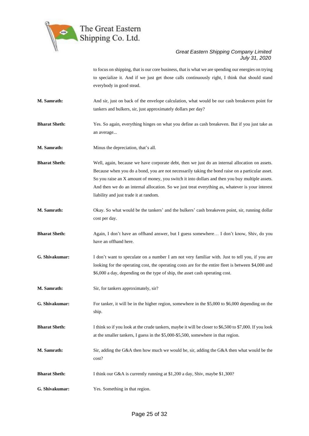

to focus on shipping, that is our core business, that is what we are spending our energies on trying to specialize it. And if we just get those calls continuously right, I think that should stand everybody in good stead.

- **M. Samrath:** And sir, just on back of the envelope calculation, what would be our cash breakeven point for tankers and bulkers, sir, just approximately dollars per day?
- **Bharat Sheth:** Yes. So again, everything hinges on what you define as cash breakeven. But if you just take as an average...
- **M. Samrath:** Minus the depreciation, that's all.

**Bharat Sheth:** Well, again, because we have corporate debt, then we just do an internal allocation on assets. Because when you do a bond, you are not necessarily taking the bond raise on a particular asset. So you raise an X amount of money, you switch it into dollars and then you buy multiple assets. And then we do an internal allocation. So we just treat everything as, whatever is your interest liability and just trade it at random.

- **M. Samrath:** Okay. So what would be the tankers' and the bulkers' cash breakeven point, sir, running dollar cost per day.
- **Bharat Sheth:** Again, I don't have an offhand answer, but I guess somewhere... I don't know, Shiv, do you have an offhand here.
- **G. Shivakumar:** I don't want to speculate on a number I am not very familiar with. Just to tell you, if you are looking for the operating cost, the operating costs are for the entire fleet is between \$4,000 and \$6,000 a day, depending on the type of ship, the asset cash operating cost.
- **M. Samrath:** Sir, for tankers approximately, sir?
- **G. Shivakumar:** For tanker, it will be in the higher region, somewhere in the \$5,000 to \$6,000 depending on the ship.
- **Bharat Sheth:** I think so if you look at the crude tankers, maybe it will be closer to \$6,500 to \$7,000. If you look at the smaller tankers, I guess in the \$5,000-\$5,500, somewhere in that region.
- **M. Samrath:** Sir, adding the G&A then how much we would be, sir, adding the G&A then what would be the cost?
- **Bharat Sheth:** I think our G&A is currently running at \$1,200 a day, Shiv, maybe \$1,300?
- **G. Shivakumar:** Yes. Something in that region.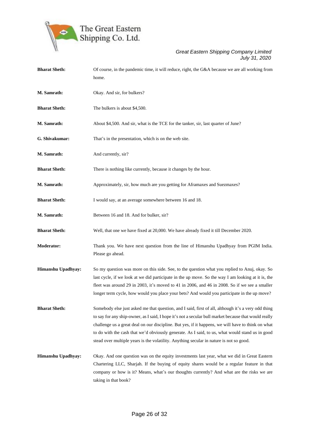

| <b>Bharat Sheth:</b> | Of course, in the pandemic time, it will reduce, right, the G&A because we are all working from<br>home.                                                                                                                                                                                                                                                                                                                                                                                                         |
|----------------------|------------------------------------------------------------------------------------------------------------------------------------------------------------------------------------------------------------------------------------------------------------------------------------------------------------------------------------------------------------------------------------------------------------------------------------------------------------------------------------------------------------------|
| M. Samrath:          | Okay. And sir, for bulkers?                                                                                                                                                                                                                                                                                                                                                                                                                                                                                      |
| <b>Bharat Sheth:</b> | The bulkers is about \$4,500.                                                                                                                                                                                                                                                                                                                                                                                                                                                                                    |
| M. Samrath:          | About \$4,500. And sir, what is the TCE for the tanker, sir, last quarter of June?                                                                                                                                                                                                                                                                                                                                                                                                                               |
| G. Shivakumar:       | That's in the presentation, which is on the web site.                                                                                                                                                                                                                                                                                                                                                                                                                                                            |
| M. Samrath:          | And currently, sir?                                                                                                                                                                                                                                                                                                                                                                                                                                                                                              |
| <b>Bharat Sheth:</b> | There is nothing like currently, because it changes by the hour.                                                                                                                                                                                                                                                                                                                                                                                                                                                 |
| M. Samrath:          | Approximately, sir, how much are you getting for Aframaxes and Suezmaxes?                                                                                                                                                                                                                                                                                                                                                                                                                                        |
| <b>Bharat Sheth:</b> | I would say, at an average somewhere between 16 and 18.                                                                                                                                                                                                                                                                                                                                                                                                                                                          |
| M. Samrath:          | Between 16 and 18. And for bulker, sir?                                                                                                                                                                                                                                                                                                                                                                                                                                                                          |
| <b>Bharat Sheth:</b> | Well, that one we have fixed at 20,000. We have already fixed it till December 2020.                                                                                                                                                                                                                                                                                                                                                                                                                             |
| Moderator:           | Thank you. We have next question from the line of Himanshu Upadhyay from PGIM India.<br>Please go ahead.                                                                                                                                                                                                                                                                                                                                                                                                         |
| Himanshu Upadhyay:   | So my question was more on this side. See, to the question what you replied to Anuj, okay. So<br>last cycle, if we look at we did participate in the up move. So the way I am looking at it is, the<br>fleet was around 29 in 2003, it's moved to 41 in 2006, and 46 in 2008. So if we see a smaller<br>longer term cycle, how would you place your bets? And would you participate in the up move?                                                                                                              |
| <b>Bharat Sheth:</b> | Somebody else just asked me that question, and I said, first of all, although it's a very odd thing<br>to say for any ship-owner, as I said, I hope it's not a secular bull market because that would really<br>challenge us a great deal on our discipline. But yes, if it happens, we will have to think on what<br>to do with the cash that we'd obviously generate. As I said, to us, what would stand us in good<br>stead over multiple years is the volatility. Anything secular in nature is not so good. |
| Himanshu Upadhyay:   | Okay. And one question was on the equity investments last year, what we did in Great Eastern<br>Chartering LLC, Sharjah. If the buying of equity shares would be a regular feature in that<br>company or how is it? Means, what's our thoughts currently? And what are the risks we are<br>taking in that book?                                                                                                                                                                                                  |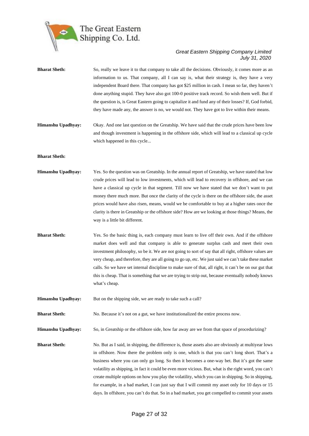

| <b>Bharat Sheth:</b> | So, really we leave it to that company to take all the decisions. Obviously, it comes more as an<br>information to us. That company, all I can say is, what their strategy is, they have a very<br>independent Board there. That company has got \$25 million in cash. I mean so far, they haven't<br>done anything stupid. They have also got 100-0 positive track record. So wish them well. But if<br>the question is, is Great Eastern going to capitalize it and fund any of their losses? If, God forbid,<br>they have made any, the answer is no, we would not. They have got to live within their means.                                                                                                            |
|----------------------|-----------------------------------------------------------------------------------------------------------------------------------------------------------------------------------------------------------------------------------------------------------------------------------------------------------------------------------------------------------------------------------------------------------------------------------------------------------------------------------------------------------------------------------------------------------------------------------------------------------------------------------------------------------------------------------------------------------------------------|
| Himanshu Upadhyay:   | Okay. And one last question on the Greatship. We have said that the crude prices have been low<br>and though investment is happening in the offshore side, which will lead to a classical up cycle<br>which happened in this cycle                                                                                                                                                                                                                                                                                                                                                                                                                                                                                          |
| <b>Bharat Sheth:</b> |                                                                                                                                                                                                                                                                                                                                                                                                                                                                                                                                                                                                                                                                                                                             |
| Himanshu Upadhyay:   | Yes. So the question was on Greatship. In the annual report of Greatship, we have stated that low<br>crude prices will lead to low investments, which will lead to recovery in offshore, and we can<br>have a classical up cycle in that segment. Till now we have stated that we don't want to put<br>money there much more. But once the clarity of the cycle is there on the offshore side, the asset<br>prices would have also risen, means, would we be comfortable to buy at a higher rates once the<br>clarity is there in Greatship or the offshore side? How are we looking at those things? Means, the<br>way is a little bit different.                                                                          |
| <b>Bharat Sheth:</b> | Yes. So the basic thing is, each company must learn to live off their own. And if the offshore<br>market does well and that company is able to generate surplus cash and meet their own<br>investment philosophy, so be it. We are not going to sort of say that all right, offshore values are<br>very cheap, and therefore, they are all going to go up, etc. We just said we can't take these market<br>calls. So we have set internal discipline to make sure of that, all right, it can't be on our gut that<br>this is cheap. That is something that we are trying to strip out, because eventually nobody knows<br>what's cheap.                                                                                     |
| Himanshu Upadhyay:   | But on the shipping side, we are ready to take such a call?                                                                                                                                                                                                                                                                                                                                                                                                                                                                                                                                                                                                                                                                 |
| <b>Bharat Sheth:</b> | No. Because it's not on a gut, we have institutionalized the entire process now.                                                                                                                                                                                                                                                                                                                                                                                                                                                                                                                                                                                                                                            |
| Himanshu Upadhyay:   | So, in Greatship or the offshore side, how far away are we from that space of procedurizing?                                                                                                                                                                                                                                                                                                                                                                                                                                                                                                                                                                                                                                |
| <b>Bharat Sheth:</b> | No. But as I said, in shipping, the difference is, those assets also are obviously at multiyear lows<br>in offshore. Now there the problem only is one, which is that you can't long short. That's a<br>business where you can only go long. So then it becomes a one-way bet. But it's got the same<br>volatility as shipping, in fact it could be even more vicious. But, what is the right word, you can't<br>create multiple options on how you play the volatility, which you can in shipping. So in shipping,<br>for example, in a bad market, I can just say that I will commit my asset only for 10 days or 15<br>days. In offshore, you can't do that. So in a bad market, you get compelled to commit your assets |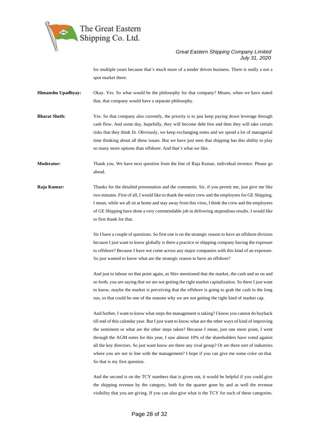

for multiple years because that's much more of a tender driven business. There is really a not a spot market there.

**Himanshu Upadhyay:** Okay. Yes. So what would be the philosophy for that company? Means, when we have stated that, that company would have a separate philosophy.

**Bharat Sheth:** Yes. So that company also currently, the priority is to just keep paying down leverage through cash flow. And some day, hopefully, they will become debt free and then they will take certain risks that they think fit. Obviously, we keep exchanging notes and we spend a lot of managerial time thinking about all these issues. But we have just seen that shipping has this ability to play so many more options than offshore. And that's what we like.

**Moderator:** Thank you. We have next question from the line of Raja Kumar, individual investor. Please go ahead.

**Raja Kumar:** Thanks for the detailed presentation and the comments. Sir, if you permit me, just give me like two minutes. First of all, I would like to thank the entire crew and the employees for GE Shipping. I mean, while we all sit at home and stay away from this virus, I think the crew and the employees of GE Shipping have done a very commendable job in delivering stupendous results. I would like to first thank for that.

> Sir I have a couple of questions. So first one is on the strategic reason to have an offshore division because I just want to know globally is there a practice or shipping company having the exposure to offshore? Because I have not come across any major companies with this kind of an exposure. So just wanted to know what are the strategic reason to have an offshore?

> And just to labour on that point again, as Shiv mentioned that the market, the cash and so on and so forth, you are saying that we are not getting the right market capitalization. So there I just want to know, maybe the market is perceiving that the offshore is going to grab the cash in the long run, so that could be one of the reasons why we are not getting the right kind of market cap.

> And further, I want to know what steps the management is taking? I know you cannot do buyback till end of this calendar year. But I just want to know what are the other ways of kind of improving the sentiment or what are the other steps taken? Because I mean, just one more point, I went through the AGM notes for this year, I saw almost 10% of the shareholders have voted against all the key directors. So just want know are there any rival group? Or are there sort of industries where you are not in line with the management? I hope if you can give me some color on that. So that is my first question.

> And the second is on the TCY numbers that is given out, it would be helpful if you could give the shipping revenue by the category, both for the quarter gone by and as well the revenue visibility that you are giving. If you can also give what is the TCY for each of these categories.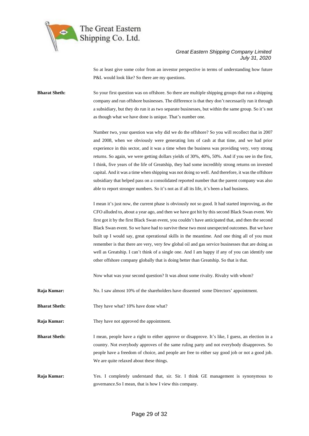

So at least give some color from an investor perspective in terms of understanding how future P&L would look like? So there are my questions.

**Bharat Sheth:** So your first question was on offshore. So there are multiple shipping groups that run a shipping company and run offshore businesses. The difference is that they don't necessarily run it through a subsidiary, but they do run it as two separate businesses, but within the same group. So it's not as though what we have done is unique. That's number one.

> Number two, your question was why did we do the offshore? So you will recollect that in 2007 and 2008, when we obviously were generating lots of cash at that time, and we had prior experience in this sector, and it was a time when the business was providing very, very strong returns. So again, we were getting dollars yields of 30%, 40%, 50%. And if you see in the first, I think, five years of the life of Greatship, they had some incredibly strong returns on invested capital. And it was a time when shipping was not doing so well. And therefore, it was the offshore subsidiary that helped pass on a consolidated reported number that the parent company was also able to report stronger numbers. So it's not as if all its life, it's been a bad business.

> I mean it's just now, the current phase is obviously not so good. It had started improving, as the CFO alluded to, about a year ago, and then we have got hit by this second Black Swan event. We first got it by the first Black Swan event, you couldn't have anticipated that, and then the second Black Swan event. So we have had to survive these two most unexpected outcomes. But we have built up I would say, great operational skills in the meantime. And one thing all of you must remember is that there are very, very few global oil and gas service businesses that are doing as well as Greatship. I can't think of a single one. And I am happy if any of you can identify one other offshore company globally that is doing better than Greatship. So that is that.

Now what was your second question? It was about some rivalry. Rivalry with whom?

**Raja Kumar:** No. I saw almost 10% of the shareholders have dissented some Directors' appointment.

- **Bharat Sheth:** They have what? 10% have done what?
- **Raja Kumar:** They have not approved the appointment.

**Bharat Sheth:** I mean, people have a right to either approve or disapprove. It's like, I guess, an election in a country. Not everybody approves of the same ruling party and not everybody disapproves. So people have a freedom of choice, and people are free to either say good job or not a good job. We are quite relaxed about these things.

**Raja Kumar:** Yes. I completely understand that, sir. Sir. I think GE management is synonymous to governance.So I mean, that is how I view this company.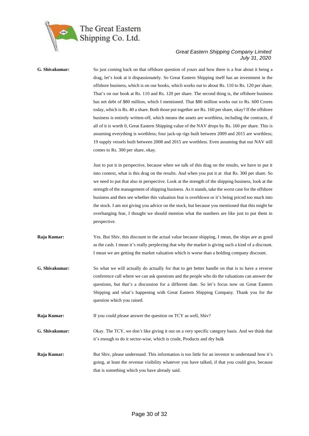

## **G. Shivakumar:** So just coming back on that offshore question of yours and how there is a fear about it being a drag, let's look at it dispassionately. So Great Eastern Shipping itself has an investment in the offshore business, which is on our books, which works out to about Rs. 110 to Rs. 120 per share. That's on our book at Rs. 110 and Rs. 120 per share. The second thing is, the offshore business has net debt of \$80 million, which I mentioned. That \$80 million works out to Rs. 600 Crores today, which is Rs. 40 a share. Both those put together are Rs. 160 per share, okay? If the offshore business is entirely written-off, which means the assets are worthless, including the contracts, if all of it is worth 0, Great Eastern Shipping value of the NAV drops by Rs. 160 per share. This is assuming everything is worthless; four jack-up rigs built between 2009 and 2015 are worthless; 19 supply vessels built between 2008 and 2015 are worthless. Even assuming that our NAV still comes to Rs. 300 per share, okay. Just to put it in perspective, because when we talk of this drag on the results, we have to put it into context, what is this drag on the results. And when you put it at that Rs. 300 per share. So we need to put that also in perspective. Look at the strength of the shipping business, look at the strength of the management of shipping business. As it stands, take the worst case for the offshore business and then see whether this valuation fear is overblown or it's being priced too much into the stock. I am not giving you advice on the stock, but because you mentioned that this might be overhanging fear, I thought we should mention what the numbers are like just to put them in perspective. **Raja Kumar:** Yes. But Shiv, this discount to the actual value because shipping, I mean, the ships are as good as the cash. I mean it's really perplexing that why the market is giving such a kind of a discount. I mean we are getting the market valuation which is worse than a holding company discount. **G. Shivakumar:** So what we will actually do actually for that to get better handle on that is to have a reverse conference call where we can ask questions and the people who do the valuations can answer the questions, but that's a discussion for a different date. So let's focus now on Great Eastern Shipping and what's happening with Great Eastern Shipping Company. Thank you for the question which you raised. **Raja Kumar:** If you could please answer the question on TCY as well, Shiv? **G. Shivakumar:** Okay. The TCY, we don't like giving it out on a very specific category basis. And we think that it's enough to do it sector-wise, which is crude, Products and dry bulk **Raja Kumar:** But Shiv, please understand. This information is too little for an investor to understand how it's going, at least the revenue visibility whatever you have talked, if that you could give, because

that is something which you have already said.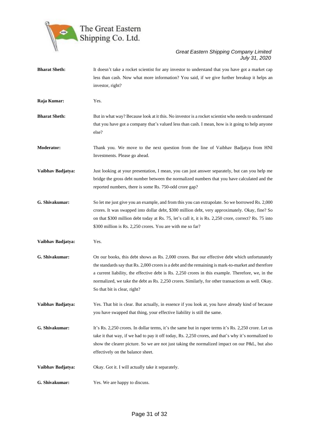

**Bharat Sheth:** It doesn't take a rocket scientist for any investor to understand that you have got a market cap less than cash. Now what more information? You said, if we give further breakup it helps an investor, right? **Raja Kumar:** Yes. **Bharat Sheth:** But in what way? Because look at it this. No investor is a rocket scientist who needs to understand that you have got a company that's valued less than cash. I mean, how is it going to help anyone else? **Moderator:** Thank you. We move to the next question from the line of Vaibhav Badjatya from HNI Investments. Please go ahead. **Vaibhav Badjatya:** Just looking at your presentation, I mean, you can just answer separately, but can you help me bridge the gross debt number between the normalized numbers that you have calculated and the reported numbers, there is some Rs. 750-odd crore gap? **G. Shivakumar:** So let me just give you an example, and from this you can extrapolate. So we borrowed Rs. 2,000 crores. It was swapped into dollar debt, \$300 million debt, very approximately. Okay, fine? So on that \$300 million debt today at Rs. 75, let's call it, it is Rs. 2,250 crore, correct? Rs. 75 into \$300 million is Rs. 2,250 crores. You are with me so far? **Vaibhav Badjatya:** Yes. **G. Shivakumar:** On our books, this debt shows as Rs. 2,000 crores. But our effective debt which unfortunately the standards say that Rs. 2,000 crores is a debt and the remaining is mark-to-market and therefore a current liability, the effective debt is Rs. 2,250 crores in this example. Therefore, we, in the normalized, we take the debt as Rs. 2,250 crores. Similarly, for other transactions as well. Okay. So that bit is clear, right? **Vaibhav Badjatya:** Yes. That bit is clear. But actually, in essence if you look at, you have already kind of because you have swapped that thing, your effective liability is still the same. **G. Shivakumar:** It's Rs. 2,250 crores. In dollar terms, it's the same but in rupee terms it's Rs. 2,250 crore. Let us take it that way, if we had to pay it off today, Rs. 2,250 crores, and that's why it's normalized to show the clearer picture. So we are not just taking the normalized impact on our P&L, but also effectively on the balance sheet. **Vaibhav Badjatya:** Okay. Got it. I will actually take it separately. **G. Shivakumar:** Yes. We are happy to discuss.